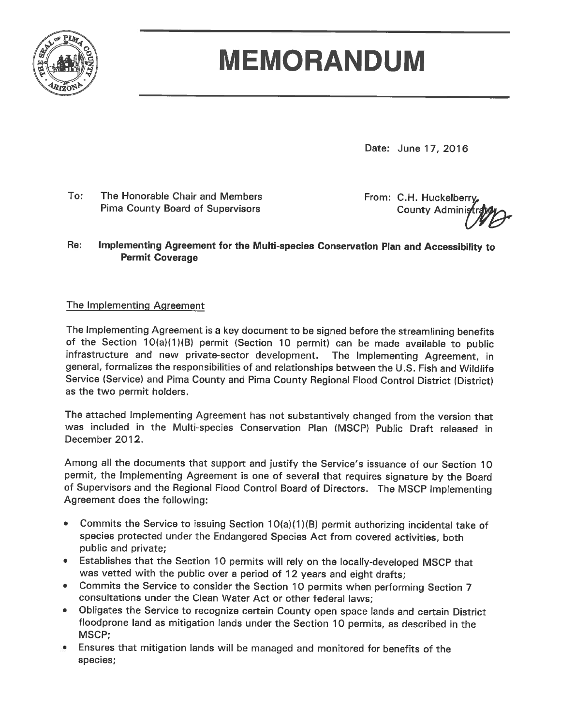

# **MEMORANDUM**

Date: June 17, 2016

To: The Honorable Chair and Members **Pima County Board of Supervisors** 

From: C.H. Huckelberry **County Administ** 

#### Re: Implementing Agreement for the Multi-species Conservation Plan and Accessibility to **Permit Coverage**

#### The Implementing Agreement

The Implementing Agreement is a key document to be signed before the streamlining benefits of the Section 10(a)(1)(B) permit (Section 10 permit) can be made available to public infrastructure and new private-sector development. The Implementing Agreement, in general, formalizes the responsibilities of and relationships between the U.S. Fish and Wildlife Service (Service) and Pima County and Pima County Regional Flood Control District (District) as the two permit holders.

The attached Implementing Agreement has not substantively changed from the version that was included in the Multi-species Conservation Plan (MSCP) Public Draft released in December 2012.

Among all the documents that support and justify the Service's issuance of our Section 10 permit, the Implementing Agreement is one of several that requires signature by the Board of Supervisors and the Regional Flood Control Board of Directors. The MSCP Implementing Agreement does the following:

- $\bullet$ Commits the Service to issuing Section 10(a)(1)(B) permit authorizing incidental take of species protected under the Endangered Species Act from covered activities, both public and private;
- Establishes that the Section 10 permits will rely on the locally-developed MSCP that was vetted with the public over a period of 12 years and eight drafts;
- Commits the Service to consider the Section 10 permits when performing Section 7 consultations under the Clean Water Act or other federal laws:
- Obligates the Service to recognize certain County open space lands and certain District  $\bullet$ floodprone land as mitigation lands under the Section 10 permits, as described in the MSCP:
- **Ensures that mitigation lands will be managed and monitored for benefits of the** species;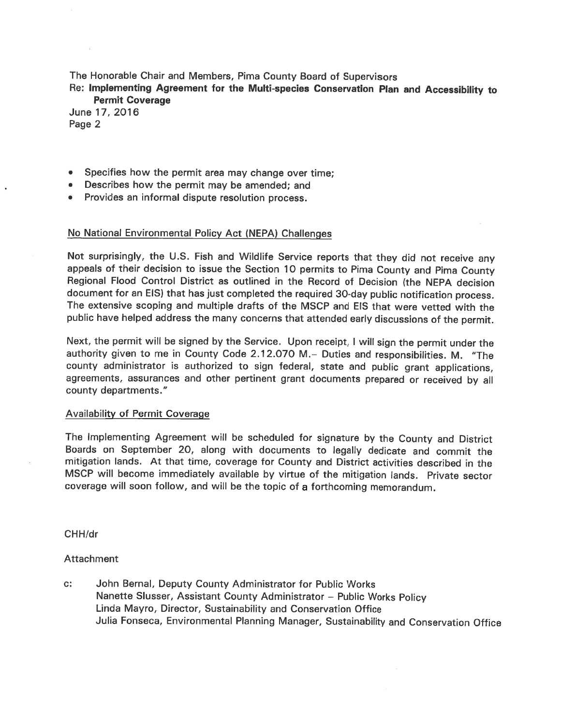The Honorable Chair and Members, Pima County Board of Supervisors

Re: Implementing Agreement for the Multi-species Conservation Plan and Accessibility to **Permit Coverage** 

June 17, 2016 Page 2

- Specifies how the permit area may change over time;
- Describes how the permit may be amended; and
- Provides an informal dispute resolution process.

#### No National Environmental Policy Act (NEPA) Challenges

Not surprisingly, the U.S. Fish and Wildlife Service reports that they did not receive any appeals of their decision to issue the Section 10 permits to Pima County and Pima County Regional Flood Control District as outlined in the Record of Decision (the NEPA decision document for an EIS) that has just completed the required 30-day public notification process. The extensive scoping and multiple drafts of the MSCP and EIS that were vetted with the public have helped address the many concerns that attended early discussions of the permit.

Next, the permit will be signed by the Service. Upon receipt, I will sign the permit under the authority given to me in County Code 2.12.070 M. - Duties and responsibilities. M. "The county administrator is authorized to sign federal, state and public grant applications, agreements, assurances and other pertinent grant documents prepared or received by all county departments."

#### **Availability of Permit Coverage**

The Implementing Agreement will be scheduled for signature by the County and District Boards on September 20, along with documents to legally dedicate and commit the mitigation lands. At that time, coverage for County and District activities described in the MSCP will become immediately available by virtue of the mitigation lands. Private sector coverage will soon follow, and will be the topic of a forthcoming memorandum.

CHH/dr

#### **Attachment**

c: John Bernal, Deputy County Administrator for Public Works Nanette Slusser, Assistant County Administrator - Public Works Policy Linda Mayro, Director, Sustainability and Conservation Office Julia Fonseca, Environmental Planning Manager, Sustainability and Conservation Office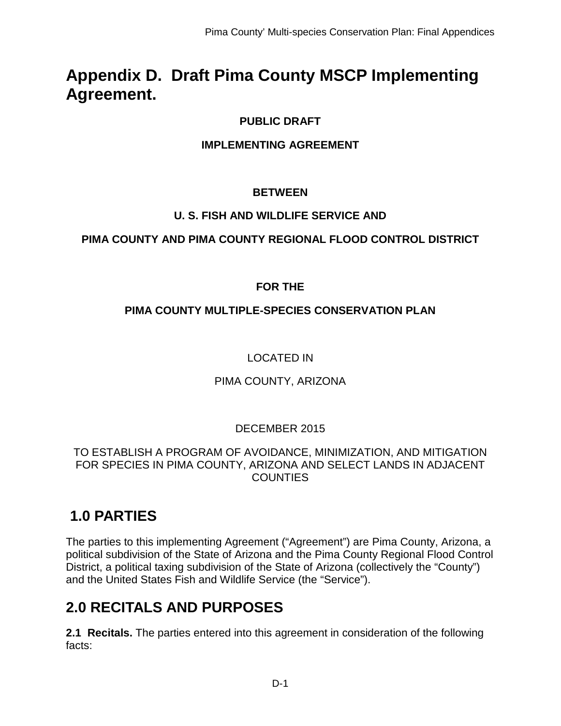# **Appendix D. Draft Pima County MSCP Implementing Agreement.**

### **PUBLIC DRAFT**

#### **IMPLEMENTING AGREEMENT**

#### **BETWEEN**

#### **U. S. FISH AND WILDLIFE SERVICE AND**

### **PIMA COUNTY AND PIMA COUNTY REGIONAL FLOOD CONTROL DISTRICT**

### **FOR THE**

### **PIMA COUNTY MULTIPLE-SPECIES CONSERVATION PLAN**

### LOCATED IN

#### PIMA COUNTY, ARIZONA

### DECEMBER 2015

#### TO ESTABLISH A PROGRAM OF AVOIDANCE, MINIMIZATION, AND MITIGATION FOR SPECIES IN PIMA COUNTY, ARIZONA AND SELECT LANDS IN ADJACENT **COUNTIES**

### **1.0 PARTIES**

The parties to this implementing Agreement ("Agreement") are Pima County, Arizona, a political subdivision of the State of Arizona and the Pima County Regional Flood Control District, a political taxing subdivision of the State of Arizona (collectively the "County") and the United States Fish and Wildlife Service (the "Service").

### **2.0 RECITALS AND PURPOSES**

**2.1 Recitals.** The parties entered into this agreement in consideration of the following facts: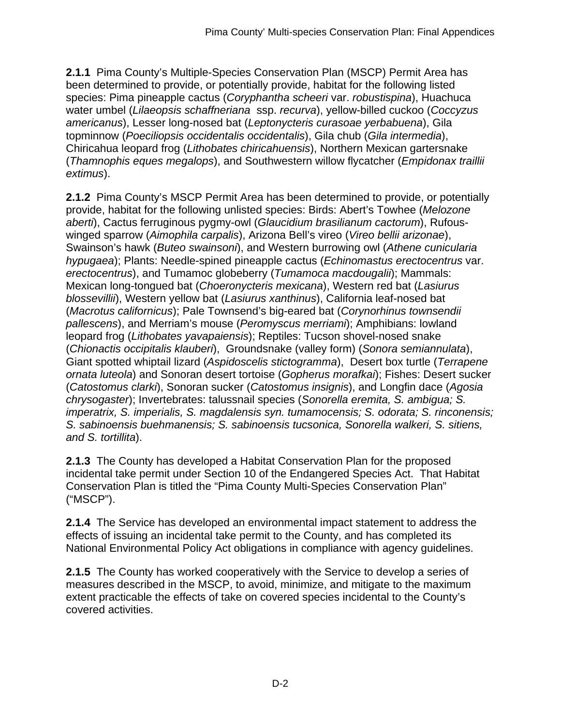**2.1.1** Pima County's Multiple-Species Conservation Plan (MSCP) Permit Area has been determined to provide, or potentially provide, habitat for the following listed species: Pima pineapple cactus (*Coryphantha scheeri* var. *robustispina*), Huachuca water umbel (*Lilaeopsis schaffneriana* ssp. *recurva*), yellow-billed cuckoo (*Coccyzus americanus*), Lesser long-nosed bat (*Leptonycteris curasoae yerbabuena*), Gila topminnow (*Poeciliopsis occidentalis occidentalis*), Gila chub (*Gila intermedia*), Chiricahua leopard frog (*Lithobates chiricahuensis*), Northern Mexican gartersnake (*Thamnophis eques megalops*), and Southwestern willow flycatcher (*Empidonax traillii extimus*).

**2.1.2** Pima County's MSCP Permit Area has been determined to provide, or potentially provide, habitat for the following unlisted species: Birds: Abert's Towhee (*Melozone aberti*), Cactus ferruginous pygmy-owl (*Glaucidium brasilianum cactorum*), Rufouswinged sparrow (*Aimophila carpalis*), Arizona Bell's vireo (*Vireo bellii arizonae*), Swainson's hawk (*Buteo swainsoni*), and Western burrowing owl (*Athene cunicularia hypugaea*); Plants: Needle-spined pineapple cactus (*Echinomastus erectocentrus* var. *erectocentrus*), and Tumamoc globeberry (*Tumamoca macdougalii*); Mammals: Mexican long-tongued bat (*Choeronycteris mexicana*), Western red bat (*Lasiurus blossevillii*), Western yellow bat (*Lasiurus xanthinus*), California leaf-nosed bat (*Macrotus californicus*); Pale Townsend's big-eared bat (*Corynorhinus townsendii pallescens*), and Merriam's mouse (*Peromyscus merriami*); Amphibians: lowland leopard frog (*Lithobates yavapaiensis*); Reptiles: Tucson shovel-nosed snake (*Chionactis occipitalis klauberi*), Groundsnake (valley form) (*Sonora semiannulata*), Giant spotted whiptail lizard (*Aspidoscelis stictogramma*), Desert box turtle (*Terrapene ornata luteola*) and Sonoran desert tortoise (*Gopherus morafkai*); Fishes: Desert sucker (*Catostomus clarki*), Sonoran sucker (*Catostomus insignis*), and Longfin dace (*Agosia chrysogaster*); Invertebrates: talussnail species (*Sonorella eremita, S. ambigua; S. imperatrix, S. imperialis, S. magdalensis syn. tumamocensis; S. odorata; S. rinconensis; S. sabinoensis buehmanensis; S. sabinoensis tucsonica, Sonorella walkeri, S. sitiens, and S. tortillita*).

**2.1.3** The County has developed a Habitat Conservation Plan for the proposed incidental take permit under Section 10 of the Endangered Species Act. That Habitat Conservation Plan is titled the "Pima County Multi-Species Conservation Plan" ("MSCP").

**2.1.4** The Service has developed an environmental impact statement to address the effects of issuing an incidental take permit to the County, and has completed its National Environmental Policy Act obligations in compliance with agency guidelines.

**2.1.5** The County has worked cooperatively with the Service to develop a series of measures described in the MSCP, to avoid, minimize, and mitigate to the maximum extent practicable the effects of take on covered species incidental to the County's covered activities.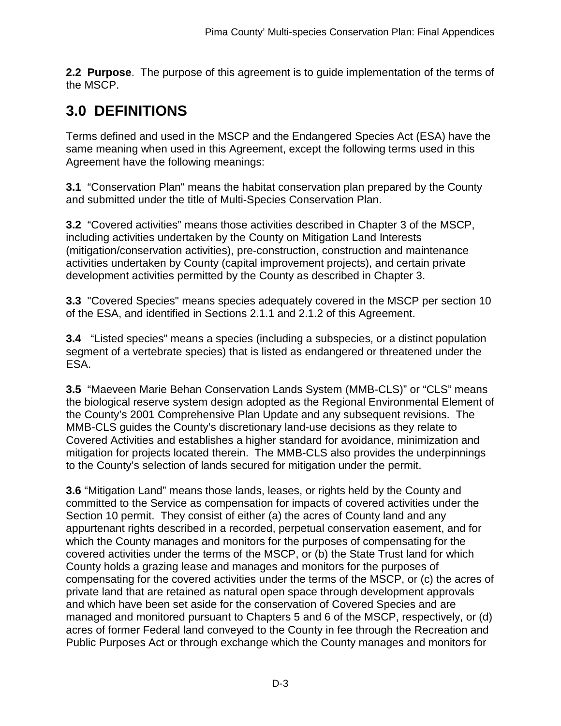**2.2 Purpose**. The purpose of this agreement is to guide implementation of the terms of the MSCP.

# **3.0 DEFINITIONS**

Terms defined and used in the MSCP and the Endangered Species Act (ESA) have the same meaning when used in this Agreement, except the following terms used in this Agreement have the following meanings:

**3.1** "Conservation Plan" means the habitat conservation plan prepared by the County and submitted under the title of Multi-Species Conservation Plan.

**3.2** "Covered activities" means those activities described in Chapter 3 of the MSCP, including activities undertaken by the County on Mitigation Land Interests (mitigation/conservation activities), pre-construction, construction and maintenance activities undertaken by County (capital improvement projects), and certain private development activities permitted by the County as described in Chapter 3.

**3.3** "Covered Species" means species adequately covered in the MSCP per section 10 of the ESA, and identified in Sections 2.1.1 and 2.1.2 of this Agreement.

**3.4** "Listed species" means a species (including a subspecies, or a distinct population segment of a vertebrate species) that is listed as endangered or threatened under the ESA.

**3.5** "Maeveen Marie Behan Conservation Lands System (MMB-CLS)" or "CLS" means the biological reserve system design adopted as the Regional Environmental Element of the County's 2001 Comprehensive Plan Update and any subsequent revisions. The MMB-CLS guides the County's discretionary land-use decisions as they relate to Covered Activities and establishes a higher standard for avoidance, minimization and mitigation for projects located therein. The MMB-CLS also provides the underpinnings to the County's selection of lands secured for mitigation under the permit.

**3.6** "Mitigation Land" means those lands, leases, or rights held by the County and committed to the Service as compensation for impacts of covered activities under the Section 10 permit. They consist of either (a) the acres of County land and any appurtenant rights described in a recorded, perpetual conservation easement, and for which the County manages and monitors for the purposes of compensating for the covered activities under the terms of the MSCP, or (b) the State Trust land for which County holds a grazing lease and manages and monitors for the purposes of compensating for the covered activities under the terms of the MSCP, or (c) the acres of private land that are retained as natural open space through development approvals and which have been set aside for the conservation of Covered Species and are managed and monitored pursuant to Chapters 5 and 6 of the MSCP, respectively, or (d) acres of former Federal land conveyed to the County in fee through the Recreation and Public Purposes Act or through exchange which the County manages and monitors for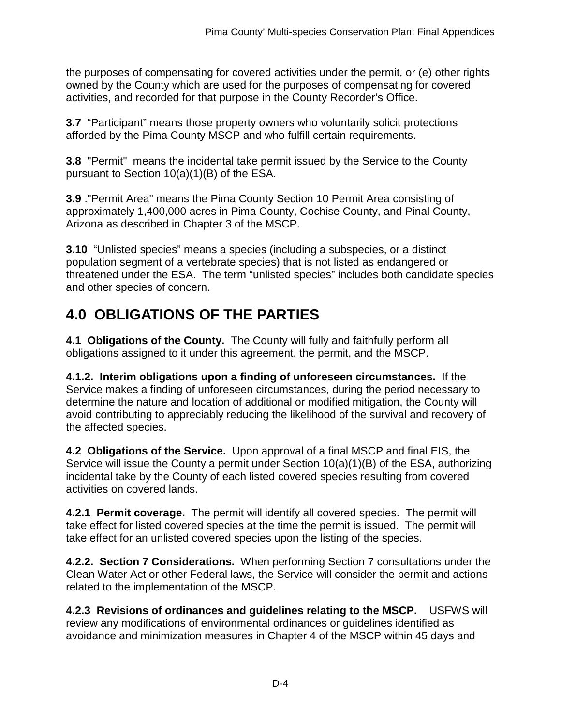the purposes of compensating for covered activities under the permit, or (e) other rights owned by the County which are used for the purposes of compensating for covered activities, and recorded for that purpose in the County Recorder's Office.

**3.7** "Participant" means those property owners who voluntarily solicit protections afforded by the Pima County MSCP and who fulfill certain requirements.

**3.8** "Permit" means the incidental take permit issued by the Service to the County pursuant to Section 10(a)(1)(B) of the ESA.

**3.9** ."Permit Area" means the Pima County Section 10 Permit Area consisting of approximately 1,400,000 acres in Pima County, Cochise County, and Pinal County, Arizona as described in Chapter 3 of the MSCP.

**3.10** "Unlisted species" means a species (including a subspecies, or a distinct population segment of a vertebrate species) that is not listed as endangered or threatened under the ESA. The term "unlisted species" includes both candidate species and other species of concern.

# **4.0 OBLIGATIONS OF THE PARTIES**

**4.1 Obligations of the County.** The County will fully and faithfully perform all obligations assigned to it under this agreement, the permit, and the MSCP.

**4.1.2. Interim obligations upon a finding of unforeseen circumstances.** If the Service makes a finding of unforeseen circumstances, during the period necessary to determine the nature and location of additional or modified mitigation, the County will avoid contributing to appreciably reducing the likelihood of the survival and recovery of the affected species.

**4.2 Obligations of the Service.** Upon approval of a final MSCP and final EIS, the Service will issue the County a permit under Section 10(a)(1)(B) of the ESA, authorizing incidental take by the County of each listed covered species resulting from covered activities on covered lands.

**4.2.1 Permit coverage.** The permit will identify all covered species. The permit will take effect for listed covered species at the time the permit is issued. The permit will take effect for an unlisted covered species upon the listing of the species.

**4.2.2. Section 7 Considerations.** When performing Section 7 consultations under the Clean Water Act or other Federal laws, the Service will consider the permit and actions related to the implementation of the MSCP.

**4.2.3 Revisions of ordinances and guidelines relating to the MSCP.** USFWS will review any modifications of environmental ordinances or guidelines identified as avoidance and minimization measures in Chapter 4 of the MSCP within 45 days and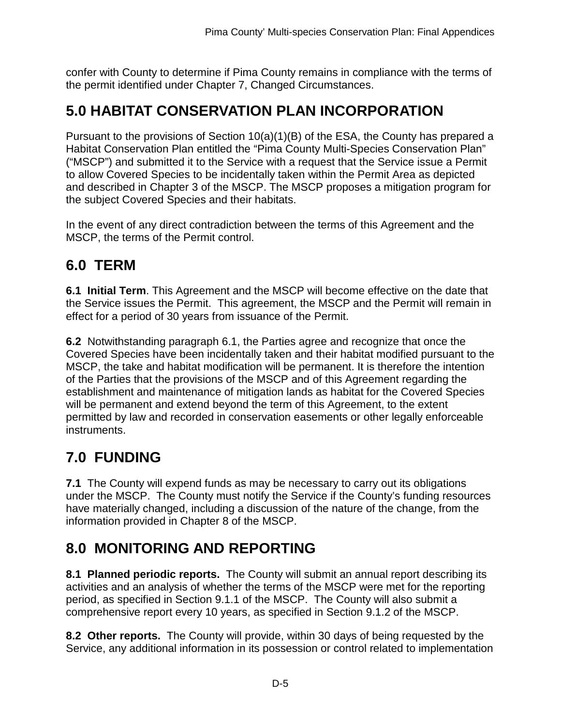confer with County to determine if Pima County remains in compliance with the terms of the permit identified under Chapter 7, Changed Circumstances.

### **5.0 HABITAT CONSERVATION PLAN INCORPORATION**

Pursuant to the provisions of Section 10(a)(1)(B) of the ESA, the County has prepared a Habitat Conservation Plan entitled the "Pima County Multi-Species Conservation Plan" ("MSCP") and submitted it to the Service with a request that the Service issue a Permit to allow Covered Species to be incidentally taken within the Permit Area as depicted and described in Chapter 3 of the MSCP. The MSCP proposes a mitigation program for the subject Covered Species and their habitats.

In the event of any direct contradiction between the terms of this Agreement and the MSCP, the terms of the Permit control.

### **6.0 TERM**

**6.1 Initial Term**. This Agreement and the MSCP will become effective on the date that the Service issues the Permit. This agreement, the MSCP and the Permit will remain in effect for a period of 30 years from issuance of the Permit.

**6.2** Notwithstanding paragraph 6.1, the Parties agree and recognize that once the Covered Species have been incidentally taken and their habitat modified pursuant to the MSCP, the take and habitat modification will be permanent. It is therefore the intention of the Parties that the provisions of the MSCP and of this Agreement regarding the establishment and maintenance of mitigation lands as habitat for the Covered Species will be permanent and extend beyond the term of this Agreement, to the extent permitted by law and recorded in conservation easements or other legally enforceable instruments.

# **7.0 FUNDING**

**7.1** The County will expend funds as may be necessary to carry out its obligations under the MSCP. The County must notify the Service if the County's funding resources have materially changed, including a discussion of the nature of the change, from the information provided in Chapter 8 of the MSCP.

# **8.0 MONITORING AND REPORTING**

**8.1 Planned periodic reports.** The County will submit an annual report describing its activities and an analysis of whether the terms of the MSCP were met for the reporting period, as specified in Section 9.1.1 of the MSCP. The County will also submit a comprehensive report every 10 years, as specified in Section 9.1.2 of the MSCP.

**8.2 Other reports.** The County will provide, within 30 days of being requested by the Service, any additional information in its possession or control related to implementation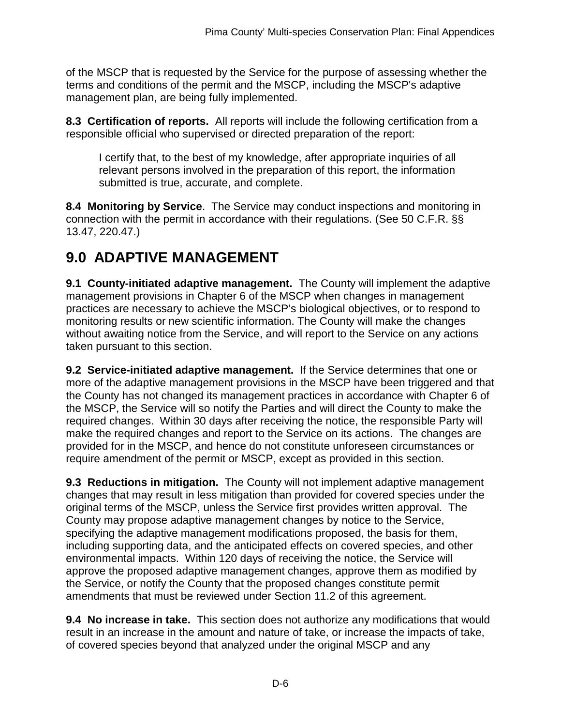of the MSCP that is requested by the Service for the purpose of assessing whether the terms and conditions of the permit and the MSCP, including the MSCP's adaptive management plan, are being fully implemented.

**8.3 Certification of reports.** All reports will include the following certification from a responsible official who supervised or directed preparation of the report:

I certify that, to the best of my knowledge, after appropriate inquiries of all relevant persons involved in the preparation of this report, the information submitted is true, accurate, and complete.

**8.4 Monitoring by Service**. The Service may conduct inspections and monitoring in connection with the permit in accordance with their regulations. (See 50 C.F.R. §§ 13.47, 220.47.)

### **9.0 ADAPTIVE MANAGEMENT**

**9.1 County-initiated adaptive management.** The County will implement the adaptive management provisions in Chapter 6 of the MSCP when changes in management practices are necessary to achieve the MSCP's biological objectives, or to respond to monitoring results or new scientific information. The County will make the changes without awaiting notice from the Service, and will report to the Service on any actions taken pursuant to this section.

**9.2 Service-initiated adaptive management.** If the Service determines that one or more of the adaptive management provisions in the MSCP have been triggered and that the County has not changed its management practices in accordance with Chapter 6 of the MSCP, the Service will so notify the Parties and will direct the County to make the required changes. Within 30 days after receiving the notice, the responsible Party will make the required changes and report to the Service on its actions. The changes are provided for in the MSCP, and hence do not constitute unforeseen circumstances or require amendment of the permit or MSCP, except as provided in this section.

**9.3 Reductions in mitigation.** The County will not implement adaptive management changes that may result in less mitigation than provided for covered species under the original terms of the MSCP, unless the Service first provides written approval. The County may propose adaptive management changes by notice to the Service, specifying the adaptive management modifications proposed, the basis for them, including supporting data, and the anticipated effects on covered species, and other environmental impacts. Within 120 days of receiving the notice, the Service will approve the proposed adaptive management changes, approve them as modified by the Service, or notify the County that the proposed changes constitute permit amendments that must be reviewed under Section 11.2 of this agreement.

**9.4 No increase in take.** This section does not authorize any modifications that would result in an increase in the amount and nature of take, or increase the impacts of take, of covered species beyond that analyzed under the original MSCP and any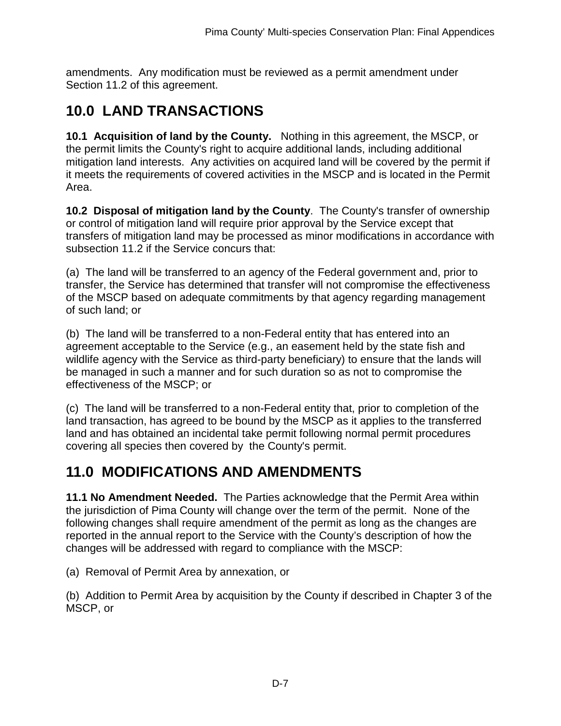amendments. Any modification must be reviewed as a permit amendment under Section 11.2 of this agreement.

# **10.0 LAND TRANSACTIONS**

**10.1 Acquisition of land by the County.** Nothing in this agreement, the MSCP, or the permit limits the County's right to acquire additional lands, including additional mitigation land interests. Any activities on acquired land will be covered by the permit if it meets the requirements of covered activities in the MSCP and is located in the Permit Area.

**10.2 Disposal of mitigation land by the County**. The County's transfer of ownership or control of mitigation land will require prior approval by the Service except that transfers of mitigation land may be processed as minor modifications in accordance with subsection 11.2 if the Service concurs that:

(a) The land will be transferred to an agency of the Federal government and, prior to transfer, the Service has determined that transfer will not compromise the effectiveness of the MSCP based on adequate commitments by that agency regarding management of such land; or

(b) The land will be transferred to a non-Federal entity that has entered into an agreement acceptable to the Service (e.g., an easement held by the state fish and wildlife agency with the Service as third-party beneficiary) to ensure that the lands will be managed in such a manner and for such duration so as not to compromise the effectiveness of the MSCP; or

(c) The land will be transferred to a non-Federal entity that, prior to completion of the land transaction, has agreed to be bound by the MSCP as it applies to the transferred land and has obtained an incidental take permit following normal permit procedures covering all species then covered by the County's permit.

# **11.0 MODIFICATIONS AND AMENDMENTS**

**11.1 No Amendment Needed.** The Parties acknowledge that the Permit Area within the jurisdiction of Pima County will change over the term of the permit. None of the following changes shall require amendment of the permit as long as the changes are reported in the annual report to the Service with the County's description of how the changes will be addressed with regard to compliance with the MSCP:

(a) Removal of Permit Area by annexation, or

(b) Addition to Permit Area by acquisition by the County if described in Chapter 3 of the MSCP, or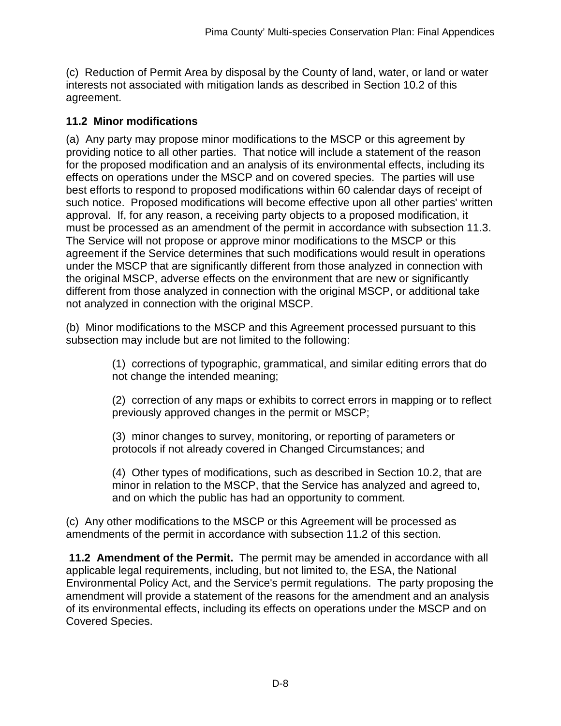(c) Reduction of Permit Area by disposal by the County of land, water, or land or water interests not associated with mitigation lands as described in Section 10.2 of this agreement.

### **11.2 Minor modifications**

(a) Any party may propose minor modifications to the MSCP or this agreement by providing notice to all other parties. That notice will include a statement of the reason for the proposed modification and an analysis of its environmental effects, including its effects on operations under the MSCP and on covered species. The parties will use best efforts to respond to proposed modifications within 60 calendar days of receipt of such notice. Proposed modifications will become effective upon all other parties' written approval. If, for any reason, a receiving party objects to a proposed modification, it must be processed as an amendment of the permit in accordance with subsection 11.3. The Service will not propose or approve minor modifications to the MSCP or this agreement if the Service determines that such modifications would result in operations under the MSCP that are significantly different from those analyzed in connection with the original MSCP, adverse effects on the environment that are new or significantly different from those analyzed in connection with the original MSCP, or additional take not analyzed in connection with the original MSCP.

(b) Minor modifications to the MSCP and this Agreement processed pursuant to this subsection may include but are not limited to the following:

> (1) corrections of typographic, grammatical, and similar editing errors that do not change the intended meaning;

(2) correction of any maps or exhibits to correct errors in mapping or to reflect previously approved changes in the permit or MSCP;

(3) minor changes to survey, monitoring, or reporting of parameters or protocols if not already covered in Changed Circumstances; and

(4) Other types of modifications, such as described in Section 10.2, that are minor in relation to the MSCP, that the Service has analyzed and agreed to, and on which the public has had an opportunity to comment*.*

(c) Any other modifications to the MSCP or this Agreement will be processed as amendments of the permit in accordance with subsection 11.2 of this section.

**11.2 Amendment of the Permit.** The permit may be amended in accordance with all applicable legal requirements, including, but not limited to, the ESA, the National Environmental Policy Act, and the Service's permit regulations. The party proposing the amendment will provide a statement of the reasons for the amendment and an analysis of its environmental effects, including its effects on operations under the MSCP and on Covered Species.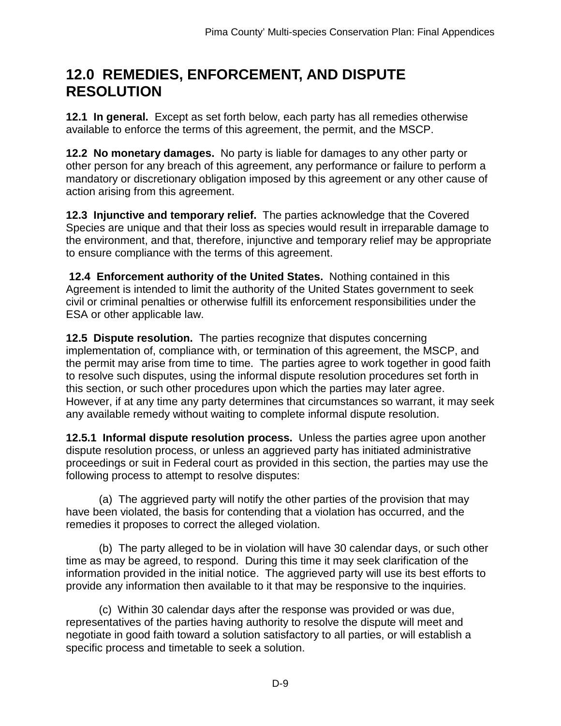### **12.0 REMEDIES, ENFORCEMENT, AND DISPUTE RESOLUTION**

**12.1 In general.** Except as set forth below, each party has all remedies otherwise available to enforce the terms of this agreement, the permit, and the MSCP.

**12.2 No monetary damages.** No party is liable for damages to any other party or other person for any breach of this agreement, any performance or failure to perform a mandatory or discretionary obligation imposed by this agreement or any other cause of action arising from this agreement.

**12.3 Injunctive and temporary relief.** The parties acknowledge that the Covered Species are unique and that their loss as species would result in irreparable damage to the environment, and that, therefore, injunctive and temporary relief may be appropriate to ensure compliance with the terms of this agreement.

**12.4 Enforcement authority of the United States.** Nothing contained in this Agreement is intended to limit the authority of the United States government to seek civil or criminal penalties or otherwise fulfill its enforcement responsibilities under the ESA or other applicable law.

**12.5 Dispute resolution.** The parties recognize that disputes concerning implementation of, compliance with, or termination of this agreement, the MSCP, and the permit may arise from time to time. The parties agree to work together in good faith to resolve such disputes, using the informal dispute resolution procedures set forth in this section, or such other procedures upon which the parties may later agree. However, if at any time any party determines that circumstances so warrant, it may seek any available remedy without waiting to complete informal dispute resolution.

**12.5.1 Informal dispute resolution process.** Unless the parties agree upon another dispute resolution process, or unless an aggrieved party has initiated administrative proceedings or suit in Federal court as provided in this section, the parties may use the following process to attempt to resolve disputes:

(a) The aggrieved party will notify the other parties of the provision that may have been violated, the basis for contending that a violation has occurred, and the remedies it proposes to correct the alleged violation.

(b) The party alleged to be in violation will have 30 calendar days, or such other time as may be agreed, to respond. During this time it may seek clarification of the information provided in the initial notice. The aggrieved party will use its best efforts to provide any information then available to it that may be responsive to the inquiries.

(c) Within 30 calendar days after the response was provided or was due, representatives of the parties having authority to resolve the dispute will meet and negotiate in good faith toward a solution satisfactory to all parties, or will establish a specific process and timetable to seek a solution.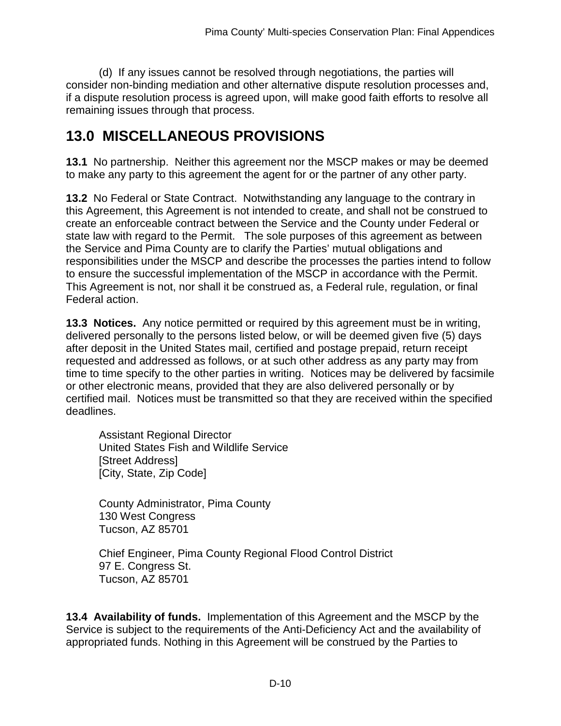(d) If any issues cannot be resolved through negotiations, the parties will consider non-binding mediation and other alternative dispute resolution processes and, if a dispute resolution process is agreed upon, will make good faith efforts to resolve all remaining issues through that process.

### **13.0 MISCELLANEOUS PROVISIONS**

**13.1** No partnership. Neither this agreement nor the MSCP makes or may be deemed to make any party to this agreement the agent for or the partner of any other party.

**13.2** No Federal or State Contract. Notwithstanding any language to the contrary in this Agreement, this Agreement is not intended to create, and shall not be construed to create an enforceable contract between the Service and the County under Federal or state law with regard to the Permit. The sole purposes of this agreement as between the Service and Pima County are to clarify the Parties' mutual obligations and responsibilities under the MSCP and describe the processes the parties intend to follow to ensure the successful implementation of the MSCP in accordance with the Permit. This Agreement is not, nor shall it be construed as, a Federal rule, regulation, or final Federal action.

**13.3 Notices.** Any notice permitted or required by this agreement must be in writing, delivered personally to the persons listed below, or will be deemed given five (5) days after deposit in the United States mail, certified and postage prepaid, return receipt requested and addressed as follows, or at such other address as any party may from time to time specify to the other parties in writing. Notices may be delivered by facsimile or other electronic means, provided that they are also delivered personally or by certified mail. Notices must be transmitted so that they are received within the specified deadlines.

Assistant Regional Director United States Fish and Wildlife Service [Street Address] [City, State, Zip Code]

County Administrator, Pima County 130 West Congress Tucson, AZ 85701

Chief Engineer, Pima County Regional Flood Control District 97 E. Congress St. Tucson, AZ 85701

**13.4 Availability of funds.** Implementation of this Agreement and the MSCP by the Service is subject to the requirements of the Anti-Deficiency Act and the availability of appropriated funds. Nothing in this Agreement will be construed by the Parties to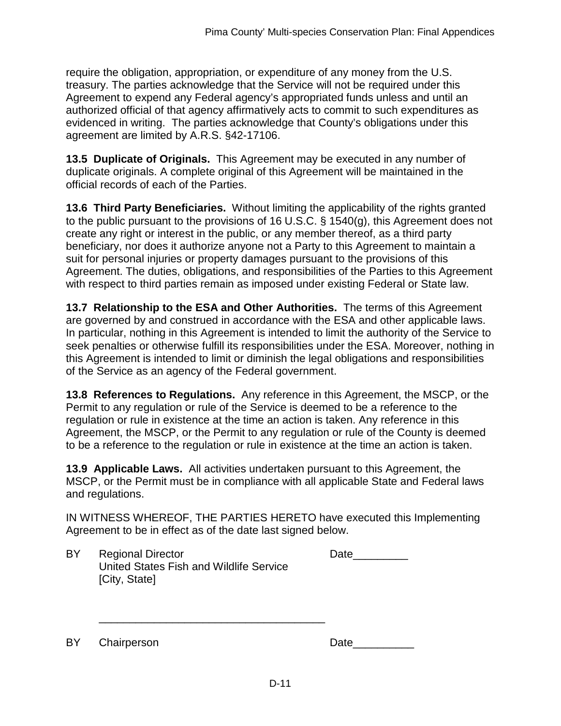require the obligation, appropriation, or expenditure of any money from the U.S. treasury. The parties acknowledge that the Service will not be required under this Agreement to expend any Federal agency's appropriated funds unless and until an authorized official of that agency affirmatively acts to commit to such expenditures as evidenced in writing. The parties acknowledge that County's obligations under this agreement are limited by A.R.S. §42-17106.

**13.5 Duplicate of Originals.** This Agreement may be executed in any number of duplicate originals. A complete original of this Agreement will be maintained in the official records of each of the Parties.

**13.6 Third Party Beneficiaries.** Without limiting the applicability of the rights granted to the public pursuant to the provisions of 16 U.S.C. § 1540(g), this Agreement does not create any right or interest in the public, or any member thereof, as a third party beneficiary, nor does it authorize anyone not a Party to this Agreement to maintain a suit for personal injuries or property damages pursuant to the provisions of this Agreement. The duties, obligations, and responsibilities of the Parties to this Agreement with respect to third parties remain as imposed under existing Federal or State law.

**13.7 Relationship to the ESA and Other Authorities.** The terms of this Agreement are governed by and construed in accordance with the ESA and other applicable laws. In particular, nothing in this Agreement is intended to limit the authority of the Service to seek penalties or otherwise fulfill its responsibilities under the ESA. Moreover, nothing in this Agreement is intended to limit or diminish the legal obligations and responsibilities of the Service as an agency of the Federal government.

**13.8 References to Regulations.** Any reference in this Agreement, the MSCP, or the Permit to any regulation or rule of the Service is deemed to be a reference to the regulation or rule in existence at the time an action is taken. Any reference in this Agreement, the MSCP, or the Permit to any regulation or rule of the County is deemed to be a reference to the regulation or rule in existence at the time an action is taken.

**13.9 Applicable Laws.** All activities undertaken pursuant to this Agreement, the MSCP, or the Permit must be in compliance with all applicable State and Federal laws and regulations.

IN WITNESS WHEREOF, THE PARTIES HERETO have executed this Implementing Agreement to be in effect as of the date last signed below.

BY Regional Director United States Fish and Wildlife Service [City, State]

\_\_\_\_\_\_\_\_\_\_\_\_\_\_\_\_\_\_\_\_\_\_\_\_\_\_\_\_\_\_\_\_\_\_\_\_\_

| е.<br>я<br>υc |  |
|---------------|--|
|               |  |

BY Chairperson

| Date |
|------|
|------|